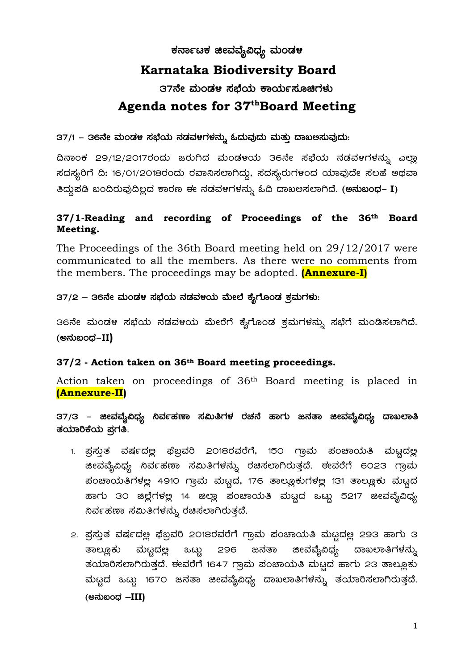# ಕರ್ನಾಟಕ **ಜೀವವೈವಿಧ್ಯ** ಮಂಡಳ

# **Karnataka Biodiversity Board**

37ನೇ ಮಂಡಳ ಸಬೆಯ ಕಾರ್ಯಸೂಚಿಗಳು

# **Agenda notes for 37thBoard Meeting**

37/1 – 36ನೇ ಮಂಡಳ ಸಭೆಯ ನಡವಳಗಳನ್ನು **ಓದುವುದು ಮತ್ತು ದಾಖ**ಅಸುವುದು:

ದಿನಾಂಕ 29/12/2017ರಂದು ಜರುಗಿದ ಮಂಡಳಯ 36ನೇ ಸಭೆಯ ನಡವಳಗಳನ್ನು ಎಲ್ಲಾ ಸದಸ್ಯರಿಗೆ ದಿ: 16/01/2018ರಂದು ರವಾನಿಸಲಾಗಿದ್ದು, ಸದಸ್ಯರುಗಳಂದ ಯಾವುದೇ ಸಲಹೆ ಅಥವಾ ತಿದ್ದುಪಡಿ ಬಂದಿರುವುದಿಲ್ಲದ ಕಾರಣ ಈ ನಡವಳಗಳನ್ನು ಓದಿ ದಾಖಅಸಲಾಗಿದೆ. (**ಅನುಬಂಧ– I**)

#### **37/1-Reading and recording of Proceedings of the 36th Board Meeting.**

The Proceedings of the 36th Board meeting held on 29/12/2017 were communicated to all the members. As there were no comments from the members. The proceedings may be adopted. **(Annexure-I)**

37/2 – 36ನೇ ಮಂಡಳ ಸಭೆಯ ನಡವಳಯ ಮೇಲೆ ಕೈಗೊಂಡ ಕ್ರಮಗಳು:

36ನೇ ಮಂಡಳ ಸಭೆಯ ನಡವಳಯ ಮೇರೆಗೆ ಕೈಗೊಂಡ ಕ್ರಮಗಳನ್ನು ಸಭೆಗೆ ಮಂಡಿಸಲಾಗಿದೆ. (ಅನುಬಂಧ–**II**)

#### **37/2 - Action taken on 36th Board meeting proceedings.**

Action taken on proceedings of 36th Board meeting is placed in **(Annexure-II)**

37/3 – ಜೀವವೈವಿಧ್ಯ ನಿರ್ವಹಣಾ ಸಮಿತಿಗಳ ರಚನೆ ಹಾಗು ಜನತಾ ಜೀವವೈವಿಧ್ಯ ದಾ**ಖಲಾ**ತಿ ತಯಾರಿಕೆಯ ಪಗತಿ.

- 1. ಪ್ರಸ್ತುತ ವರ್ಷದಲ್ಲಿ ಫೆಬ್ರವರಿ 2018ರವರೆಗೆ, 150 ಗ್ರಾಮ ಪಂಚಾಯತಿ ಮಟ್ಟದಲ್ಲ æeವವೈವಿಧ್ಯ ನಿರ್ವಹಣಾ ಸಮಿತಿಗಳನ್ನು ರಚಿಸಲಾಗಿರುತ್ತದೆ. ಈವರೆಗೆ 6023 ಗ್ರಾಮ ಹಂಚಾಯತಿಗಳಲ್ಲ 4910 ಗ್ರಾಮ ಮಟ್ಟದ, 176 ತಾಲ್ಲೂಕುಗಳಲ್ಲ 131 ತಾಲ್ಲೂಕು ಮಟ್ಟದ ಹಾಗು 3೦ ಜಿಲ್ಲೆಗಳಲ್ಲ 14 ಜಿಲ್ಲಾ ಪಂಚಾಯತಿ ಮಟ್ಟದ ಒಟ್ಟು 5217 ಜೀವವೈವಿಧ್<mark>ಯ</mark> .ನಿರ್ವಹಣಾ ಸಮಿತಿಗಳನ್ನು ರಚಿಸಲಾಗಿರುತ್ತದೆ.
- 2. ಪ್ರಸ್ತುತ ವರ್ಷದಲ್ಲ ಫೆಬ್ಬವರಿ 2018ರವರೆಗೆ ಗ್ರಾಮ ಪಂಚಾಯತಿ ಮಟ್ಟದಲ್ಲ 293 ಹಾಗು 3 ತಾಲ್ಲೂಕು ಮಟ್ಟದಲ್ಲಿ ಒಟ್ಟು 296 ಜನತಾ ಜೀವವೈವಿಧ್ಯ ದಾಖಲಾತಿಗಳನ್ನು ತಯಾರಿಸಲಾಗಿರುತ್ತದೆ. ಈವರೆಗೆ 1647 ಗ್ರಾಮ ಪಂಚಾಯತಿ ಮಟ್ಟದ ಹಾಗು 23 ತಾಲ್ಲೂಕು ಮಟ್ಟದ ಒಟ್ಟು 1670 ಜನತಾ ಜೀವವೈವಿಧ್ಯ ದಾಖಲಾತಿಗಳನ್ನು ತಯಾರಿಸಲಾಗಿರುತ್ತದೆ. **(C£ÀħAzsÀ –III)**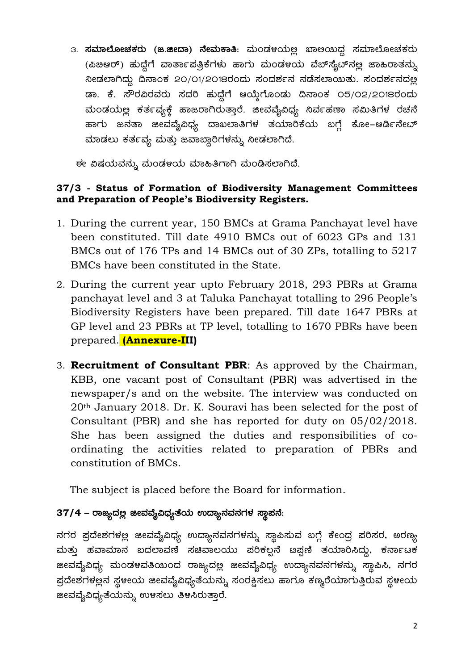3. **ಸಮಾಲೋಚಕರು (ಜ.ಜೀದಾ) ನೇಮಕಾತಿ**: ಮಂಡಳಯಲ್ಲ ಖಾಅಯಿದ್ದ ಸಮಾಲೋಚಕರು (ಪಿಙಆರ್) ಹುದ್ದೆಗೆ ವಾರ್ತಾಪತ್ರಿಕೆಗಳು ಹಾಗು ಮಂಡಳಯ ವೆಬ್ $\vec{x}$ ್ಷುದ್ ಸಲ್ಲ ಜಾಹಿರಾತನ್ನು  $\alpha$ ಿಸಿ ಸಾಂಕ 20/01/2018ರಂದು ಸಂದರ್ಶನ ನಡೆಸಲಾಯಿತು. ಸಂದರ್ಶನದಲ್ಲ ಡಾ. ಕೆ. ಸೌರವಿರವರು ಸದರಿ ಹುದ್ದೆಗೆ ಆಯ್ತೆಗೊಂಡು ದಿನಾಂಕ ೦5/೦2/2018ರಂದು ಮಂಡಯಲ್ಲ ಕರ್ತವ್ಯಕ್ಕೆ ಹಾಜರಾಗಿರುತ್ತಾರೆ. ಜೀವವೈವಿಧ್ಯ ನಿರ್ವಹಣಾ ಸಮಿತಿಗಳ ರಚನೆ ಹಾಗು ಜನತಾ ಜೀವವೈವಿಧ್ಯ ದಾಖಲಾತಿಗಳ ತಯಾರಿಕೆಯ ಬಗ್ಗೆ ಕೋ–ಆರ್ಡಿನೇಟ್ ಮಾಡಲು ಕರ್ತವ್ಯ ಮತ್ತು ಜವಾಬ್ದಾರಿಗಳನ್ನು ನೀಡಲಾಗಿದೆ.

ಈ ವಿಷಯವನ್ನು ಮಂಡಳಯ ಮಾಹಿತಿಗಾಗಿ ಮಂಡಿಸಲಾಗಿದೆ.

#### **37/3 - Status of Formation of Biodiversity Management Committees and Preparation of People's Biodiversity Registers.**

- 1. During the current year, 150 BMCs at Grama Panchayat level have been constituted. Till date 4910 BMCs out of 6023 GPs and 131 BMCs out of 176 TPs and 14 BMCs out of 30 ZPs, totalling to 5217 BMCs have been constituted in the State.
- 2. During the current year upto February 2018, 293 PBRs at Grama panchayat level and 3 at Taluka Panchayat totalling to 296 People's Biodiversity Registers have been prepared. Till date 1647 PBRs at GP level and 23 PBRs at TP level, totalling to 1670 PBRs have been prepared. **(Annexure-III)**
- 3. **Recruitment of Consultant PBR**: As approved by the Chairman, KBB, one vacant post of Consultant (PBR) was advertised in the newspaper/s and on the website. The interview was conducted on 20th January 2018. Dr. K. Souravi has been selected for the post of Consultant (PBR) and she has reported for duty on 05/02/2018. She has been assigned the duties and responsibilities of coordinating the activities related to preparation of PBRs and constitution of BMCs.

The subject is placed before the Board for information.

# 37/4 – ರಾಜ್ಯದಲ್ಲ ಜೀವವೈವಿಧ್ಯತೆಯ ಉದ್ಯಾನವನಗಳ ಸ್ಥಾಪನೆ:

ನಗರ ಪ್ರದೇಶಗಳಲ್ಲ ಜೀವವೈವಿಧ್ಯ ಉದ್ಯಾನವನಗಳನ್ನು ಸ್ಥಾಪಿಸುವ ಬಗ್ಗೆ ಕೇಂದ್ರ ಪರಿಸರ, ಅರಣ್<mark>ಯ</mark> ªÀÄvÀÄÛ ºÀªÁªÀiÁ£À §zÀ¯ÁªÀuÉ ¸ÀaªÁ®AiÀÄÄ ¥ÀjPÀ®à£É n¥Ààt vÀAiÀiÁj¹zÀÄÝ, PÀ£ÁðlPÀ æeವವೈವಿಧ್ಯ ಮಂಡಳವತಿಯಂದ ರಾಜ್ಯದಲ್ಲ ಜೀವವೈವಿಧ್ಯ ಉದ್ಯಾನವನಗಳನ್ನು ಸ್ಥಾಪಿಸಿ, ನಗರ ಪ್ರದೇಶಗಳಲ್ಲನ ಸ್ಥಳೀಯ ಜೀವವೈವಿಧ್ಯತೆಯನ್ನು ಸಂರಕ್ಷಿಸಲು ಹಾಗೂ ಕಣ್ಮರೆಯಾಗುತ್ತಿರುವ ಸ್ಥಳೀಯ æeವವೈವಿಧ್ಯತೆಯನ್ನು ಉಳಸಲು ತಿಳಸಿರುತ್ತಾರೆ.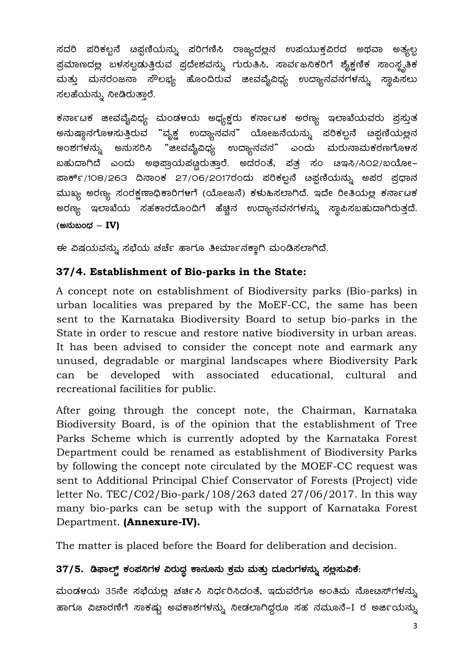ಸದರಿ ಪರಿಕಲ್ಪನೆ ೞಪ್ಪಣಿಯನ್ನು ಪರಿಗಣಿಸಿ ರಾಜ್ಯದಲ್ಲಿನ ಉಪಯುಕ್ತವಿರದ ಅಥವಾ ಅತ್ಯಲ್ಪ ಪ್ರಮಾಣದಲ್ಲ ಬಳಸಲ್ಪಡುತ್ತಿರುವ ಪ್ರದೇಶವನ್ನು ಗುರುತಿಸಿ, ಸಾರ್ವಜನಿಕರಿಗೆ ಶೈಕ್ಷಣಿಕ ಸಾಂಸ್ಥೃತಿಕ ಮತ್ತು ಮನರಂಜನಾ ಸೌಲಭ್ಯ ಹೊಂದಿರುವ ಜೀವವೈವಿಧ್ಯ ಉದ್ಯಾನವನಗಳನ್ನು ಸ್ಥಾಪಿಸಲು ಸಲಹೆಯನ್ನು ನೀಡಿರುತ್ತಾರೆ.

ಕರ್ನಾಟಕ ಜೀವವೈವಿಧ್ಯ ಮಂಡಳಯ ಅಧ್ಯಕ್ಷರು ಕರ್ನಾಟಕ ಅರಣ್ಯ ಇಲಾಖೆಯವರು ಪ್ರಸ್ತುತ ಅನುಷ್ಠಾನಗೊಳಸುತ್ತಿರುವ "ವೃಕ್ಷ ಉದ್ಯಾನವನ" ಯೋಜನೆಯನ್ನು ಪರಿಕಲ್ಪನೆ ೞಪ್ಪಣಿಯಲ್ಲನ ಅಂಶಗಳನ್ನು ಅನುಸರಿಸಿ "ಜೀವವೈವಿಧ್ಯ ಉದ್ಯಾನವನ" ಎಂದು ಮರುನಾಮಕರಣಗೊಳಸ ಬಹುದಾಗಿದೆ ಎಂದು ಅಭಿಪ್ರಾಯಪಟ್ಟರುತ್ತಾರೆ. ಅದರಂತೆ, ಪತ್ರ ಸಂ ೞಇಸಿ/ಸಿ೦2/ಬಯೋ– ಮುಖ್ಯ ಅರಣ್ಯ ಸಂರಕ್ಷಣಾಧಿಕಾರಿಗಳಗೆ (ಯೋಜನೆ) ಕಳುಹಿಸಲಾಗಿದೆ. ಇದೇ ರೀತಿಯಲ್ಲ ಕರ್ನಾಟಕ ಅರಣ್ಯ ಇಲಾಖೆಯ ಸಹಕಾರದೊಂದಿಗೆ ಹೆಚ್ಚಿನ ಉದ್ಯಾನವನಗಳನ್ನು ಸ್ಥಾಪಿಸಬಹುದಾಗಿರುತ್ತದೆ. (ಅನುಬಂಧ – IV)

ಈ ವಿಷಯವನ್ನು ಸಭೆಯ ಚರ್ಚೆ ಹಾಗೂ ತೀರ್ಮಾನಕ್ಕಾಗಿ ಮಂಡಿಸಲಾಗಿದೆ.

# 37/4. Establishment of Bio-parks in the State:

A concept note on establishment of Biodiversity parks (Bio-parks) in urban localities was prepared by the MoEF-CC, the same has been sent to the Karnataka Biodiversity Board to setup bio-parks in the State in order to rescue and restore native biodiversity in urban areas. It has been advised to consider the concept note and earmark any unused, degradable or marginal landscapes where Biodiversity Park can be developed with associated educational, cultural and recreational facilities for public.

After going through the concept note, the Chairman, Karnataka Biodiversity Board, is of the opinion that the establishment of Tree Parks Scheme which is currently adopted by the Karnataka Forest Department could be renamed as establishment of Biodiversity Parks by following the concept note circulated by the MOEF-CC request was sent to Additional Principal Chief Conservator of Forests (Project) vide letter No. TEC/C02/Bio-park/108/263 dated  $27/06/2017$ . In this way many bio-parks can be setup with the support of Karnataka Forest Department. (Annexure-IV).

The matter is placed before the Board for deliberation and decision.

# 37/5. ಡಿಫಾಲ್ಟ್ ಕಂಪನಿಗಳ ವಿರುದ್ಧ ಕಾನೂನು ಕ್ರಮ ಮತ್ತು ದೂರುಗಳನ್ನು ಸಲ್ಲಸುವಿಕೆ:

ಮಂಡಳಯ 35ನೇ ಸಭೆಯಲ್ಲ ಚರ್ಚಿಸಿ ನಿರ್ಧರಿಸಿದಂತೆ, ಇದುವರೆಗೂ ಅಂತಿಮ ನೋಟಸ್ಗಳನ್ನು ಹಾಗೂ ವಿಚಾರಣಿಗೆ ಸಾಕಷ್ಟು ಅವಕಾಶಗಳನ್ನು ನೀಡಲಾಗಿದ್ದರೂ ಸಹ ನಮೂನೆ–I ರ ಅರ್ಜಿಯನ್ನು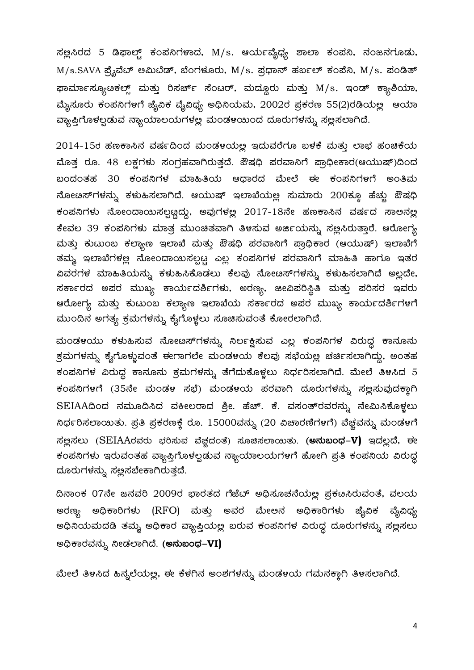ಸಲ್ಲಿಸಿರದ 5 ಡಿಫಾಲ್ಟ್ ಕಂಪನಿಗಳಾದ, M/s. ಆರ್ಯವೈಧ್ಯ ಶಾಲಾ ಕಂಪನಿ, ನಂಜನಗೂಡು,  $M/s.SAVA$  ಪ್ರೈವೆಬ್ ಅಮಿಬೆಡ್, ಬೆಂಗಳೂರು,  $M/s$ . ಪ್ರಧಾನ್ ಹರ್ಬಲ್ ಕಂಪೆನಿ,  $M/s$ . ಪಂಡಿತ್ ಫಾರ್ಮಾಸ್ಯೂಚಿಕಲ್ಸ್ ಮತ್ತು ರಿಸರ್ಚ್ ಸೆಂಟರ್, ಮದ್ದೂರು ಮತ್ತು M/s. ಇಂಡ್ ಕ್ಯಾಶಿಯಾ, ಮೈಸೂರು ಕಂಪನಿಗಳಗೆ ಜೈವಿಕ ವೈವಿಧ್ಯ ಅಧಿನಿಯಮ, 2002ರ ಪ್ರಕರಣ 55(2)ರಡಿಯಲ್ಲ ಆಯಾ ವ್ಯಾಪ್ತಿಗೊಳಲ್ಪಡುವ ನ್ಯಾಯಾಲಯಗಳಲ್ಲ ಮಂಡಳಯಂದ ದೂರುಗಳನ್ನು ಸಲ್ಲಸಲಾಗಿದೆ.

 $2014$ -15ರ ಹಣಕಾಸಿನ ವರ್ಷದಿಂದ ಮಂಡಳಯಲ್ಲ ಇದುವರೆಗೂ ಬಳಕೆ ಮತ್ತು ಲಾಭ ಹಂಚಿಕೆಯ ಮೊತ್ತ ರೂ. 48 ಲಕ್ಷಗಳು ಸಂಗ್ರಹವಾಗಿರುತ್ತದೆ. ಔಷಧಿ ಪರವಾನಿಗೆ ಪ್ರಾಧೀಕಾರ(ಆಯುಷ್)ದಿಂದ  $\alpha$ 20ದಂತಹ 30 ಕಂಪನಿಗಳ ಮಾಹಿತಿಯ ಆಧಾರದ ಮೇಲೆ ಈ ಕಂಪನಿಗಳಿಗೆ ಅಂತಿಮ ನೋಟಸ್**ಗಳನ್ನು ಕಳುಹಿಸಲಾಗಿದೆ. ಆಯುಷ್ ಇಲಾಖೆಯ**ಲ್ಲ ಸುಮಾರು 200ಕ್ಕೂ ಹೆಚ್ಚು ಔಷಧಿ ಕಂಪನಿಗಳು ನೋಂದಾಯಿಸಲ್ಪಟ್ಟದ್ದು, ಅವುಗಳಲ್ಲ  $2017$ - $18$ ನೇ ಹಣಕಾಸಿನ ವರ್ಷದ ಸಾಅನಲ್ಲ ಕೇವಲ 39 ಕಂಪನಿಗಳು ಮಾತ್ರ ಮುಂಚಿತವಾಗಿ ತಿಳಸುವ ಅರ್ಜಿಯನ್ನು ಸಲ್ಲಿಸಿರುತ್ತಾರೆ. ಆರೋಗ್ಯ ಮತ್ತು ಕುಟುಂಬ ಕಲ್ಯಾಣ ಇಲಾಖೆ ಮತ್ತು ಔಷಧಿ ಪರವಾನಿಗೆ ಪ್ರಾಧಿಕಾರ (ಆಯುಷ್) ಇಲಾಖೆಗೆ ತಮ್ಮ ಇಲಾಖೆಗಳಲ್ಲ ನೋಂದಾಯಿಸಲ್ಪಟ್ಟ ಎಲ್ಲ ಕಂಪನಿಗಳ ಪರವಾನಿಗೆ ಮಾಹಿತಿ ಹಾಗೂ ಇತರ ವಿವರಗಳ ಮಾಹಿತಿಯನ್ನು ಕಳುಹಿಸಿಕೊಡಲು ಕೆಲವು ನೋಟಸ್1ಳನ್ನು ಕಳುಹಿಸಲಾಗಿದೆ ಅಲ್ಲದೇ, ಸರ್ಕಾರದ ಅಪರ ಮುಖ್ಯ ಕಾರ್ಯದರ್ಶಿಗಳು, ಅರಣ್ಯ, ಜೀವಿಪರಿಸ್ಥಿತಿ ಮತ್ತು ಪರಿಸರ ಇವರು ಆರೋಗ್ಯ ಮತ್ತು ಕುಟುಂಬ ಕಲ್ಯಾಣ ಇಲಾಖೆಯ ಸರ್ಕಾರದ ಅಪರ ಮುಖ್ಯ ಕಾರ್ಯದರ್ಶಿಗ<mark>ಳ</mark>ಗೆ ಮುಂದಿನ ಅಗತ್ಯ ಕ್ರಮಗಳನ್ನು ಕೈಗೊಳ್ಳಲು ಸೂಚಿಸುವಂತೆ ಕೋರಲಾಗಿದೆ.

ಮಂಡಳಯು ಕಳುಹಿಸುವ ನೋೞಸ್ಗ್ರ್ ಸಿರ್ಲಕ್ಷಿಸುವ ಎಲ್ಲ ಕಂಪನಿಗಳ ವಿರುದ್ಧ ಕಾನೂನು ಕ್ರಮಗಳನ್ನು ಕೈಗೊಳ್ಳುವಂತೆ ಈಗಾಗಲೇ ಮಂಡಳಯ ಕೆಲವು ಸಭೆಯಲ್ಲ ಚರ್ಚಿಸಲಾಗಿದ್ದು, ಅಂತಹ ಕಂಪನಿಗಳ ವಿರುದ್ಧ ಕಾನೂನು ಕ್ರಮಗಳನ್ನು ತೆಗೆದುಕೊಳ್ಳಲು ನಿರ್ಧರಿಸಲಾಗಿದೆ. ಮೇಲೆ ತಿಳಸಿದ 5 ಕಂಪನಿಗಳಗೆ (35ನೇ ಮಂಡಳ ಸಭೆ) ಮಂಡಳಯ ಪರವಾಗಿ ದೂರುಗಳನ್ನು ಸಲ್ಲಸುವುದಕ್ತಾಗಿ SEIAAದಿಂದ ನಮೂದಿಸಿದ ವಕೀಲರಾದ ಶ್ರೀ. ಹೆಚ್. ಕೆ. ವಸಂತ್**ರವರನ್ನು ನೇಮಿಸಿಕೊಳ್ಳಲು** ಸಿರ್ಧರಿಸಲಾಯಿತು. ಪ್ರತಿ ಪ್ರಕರಣಕ್ಕೆ ರೂ. 15000ವನ್ನು (20 ವಿಚಾರಣಿಗಳಿಗೆ) ವೆಚ್ಚವನ್ನು ಮಂಡಳಗೆ  $\vec{a}$ ಜ್ಞನಲು (SEIAAರವರು ಭರಿಸುವ ವೆಚ್ಚದಂತೆ) ಸೂಚಿಸಲಾಯಿತು. (ಅನುಬಂಧ–V) ಇದಲ್ಲದೆ, ಈ ಕಂಪನಿಗಳು ಇರುವಂತಹ ವ್ಯಾಪ್ತಿಗೊಳಲ್ಪಡುವ ನ್ಯಾಯಾಲಯಗಳಗೆ ಹೋಗಿ ಪ್ರತಿ ಕಂಪನಿಯ ವಿರುದ್ಧ ದೂರುಗಳನ್ನು ಸಲ್ಲಸಬೇಕಾಗಿರುತ್ತದೆ.

ದಿನಾಂಕ 07ನೇ ಜನವರಿ 2009ರ ಭಾರತದ ಗೆಜೆಬ್ ಅಧಿಸೂಚನೆಯಲ್ಲ ಪ್ರಕೞಸಿರುವಂತೆ, ವಲಯ ಅರಣ್ಯ ಅಧಿಕಾರಿಗಳು (RFO) ಮತ್ತು ಅವರ ಮೇಅನ ಅಧಿಕಾರಿಗಳು ಜೈವಿಕ ವೈವಿಧ್ಯ ಅಧಿನಿಯಮದಡಿ ತಮ್ಮ ಅಧಿಕಾರ ವ್ಯಾಪ್ತಿಯಲ್ಲ ಬರುವ ಕಂಪನಿಗಳ ವಿರುದ್ದ ದೂರುಗಳನ್ನು ಸಲ್ಲಸಲು C¢üPÁgÀªÀ£ÀÄß ¤ÃqÀ¯ÁVzÉ. **(C£ÀħAzsÀ-VI)**

ಮೇಲೆ ತಿಳಸಿದ ಹಿನ್ನಲೆಯಲ್ಲ, ಈ ಕೆಳಗಿನ ಅಂಶಗಳನ್ನು ಮಂಡಳಯ ಗಮನಕ್ಕಾಗಿ ತಿಳಸಲಾಗಿದೆ.

4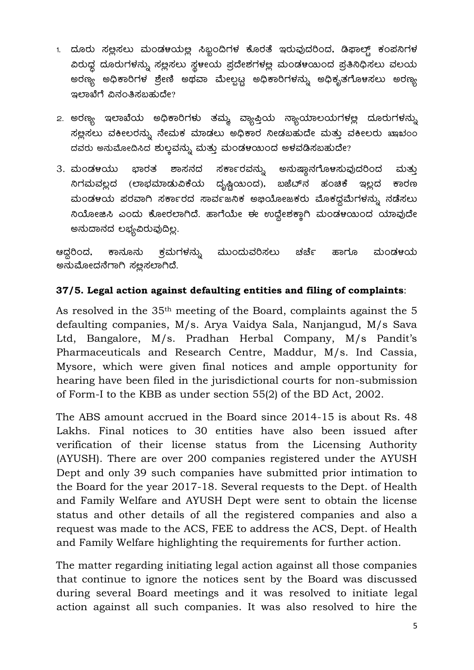- 1. ದೂರು ಸಲ್ಲಸಲು ಮಂಡಳಯಲ್ಲ ಸಿಬ್ಬಂದಿಗಳ ಕೊರತೆ ಇರುವುದರಿಂದ, ಡಿಫಾಲ್ಟ್ ಕಂಪನಿಗಳ ವಿರುಧ್ಧ ದೂರುಗಳನ್ನು ಸಲ್ಲಿಸಲು ಸ್ಥಳೀಯ ಪ್ರದೇಶಗಳಲ್ಲ ಮಂಡಳಯಿಂದ ಪ್ರತಿನಿಧಿಸಲು ವಲಯ ಅರಣ್ಯ ಅಧಿಕಾರಿಗಳ ಶ್ರೇಣಿ ಅಥವಾ ಮೇಲ್ಪಟ್ಟ ಅಧಿಕಾರಿಗಳನ್ನು ಅಧಿಕೃತಗೊಳಸಲು ಅರಣ್ಯ ಇಲಾಖೆಗೆ ವಿನಂತಿಸಬಹುದೇ?
- 2. ಅರಣ್ಯ ಇಲಾಖೆಯ ಅಧಿಕಾರಿಗಳು ತಮ್ಮ ವ್ಯಾಪ್ತಿಯ ನ್ಯಾಯಾಲಯಗಳಲ್ಲ ದೂರುಗಳನ್ನು ಸಲ್ಲಿಸಲು ವಕೀಲರನ್ನು ನೇಮಕ ಮಾಡಲು ಅಧಿಕಾರ ನೀಡಬಹುದೇ ಮತ್ತು ವಕೀಲರು ಖಾಖಂಂ ದವರು ಅನುಮೋದಿಸಿದ ಶುಲ್ಲವನ್ನು ಮತ್ತು ಮಂಡಳಯಿಂದ ಅಳವಡಿಸಬಹುದೇ?
- ಸರ್ಕಾರವನ್ನು ಭಾರತ ಶಾಸನದ 3. ಮಂಡಳಯು ಅನುಷ್ಠಾನಗೊಳಸುವುದರಿಂದ ಮತ್ತು ನಿಗಮವಲ್ಲದ (ಲಾಭಮಾಡುವಿಕೆಯ ದೃಷ್ಟಿಯಿಂದ), ಬಜೆಬ್ನ ಹಂಚಿಕೆ ಇಲ್ಲದ ಕಾರಣ ಮಂಡಳಯ ಪರವಾಗಿ ಸರ್ಕಾರದ ಸಾರ್ವಜನಿಕ ಅಭಿಯೋಜಕರು ಮೊಕದ್ದಮೆಗಳನ್ನು ನಡೆಸಲು ನಿಯೋಜಿಸಿ ಎಂದು ಕೋರಲಾಗಿದೆ. ಹಾಗೆಯೇ ಈ ಉದ್ದೇಶಕ್ತಾಗಿ ಮಂಡಳಯಿಂದ ಯಾವುದೇ ಅನುದಾನದ ಲಭ್ಯವಿರುವುದಿಲ್ಲ.

ಮಂಡ೪ಯ ಆದ್ದರಿಂದ, ಕಾನೂನು ್ರಕಮಗಳನ್ನು ಮುಂದುವರಿಸಲು ಚರ್ಚೆ ಹಾಗೂ ಅನುಮೋದನೆಗಾಗಿ ಸಲ್ಲಿಸಲಾಗಿದೆ.

# 37/5. Legal action against defaulting entities and filing of complaints:

As resolved in the 35<sup>th</sup> meeting of the Board, complaints against the 5 defaulting companies, M/s. Arya Vaidya Sala, Nanjangud, M/s Sava Ltd, Bangalore, M/s. Pradhan Herbal Company, M/s Pandit's Pharmaceuticals and Research Centre, Maddur, M/s. Ind Cassia, Mysore, which were given final notices and ample opportunity for hearing have been filed in the jurisdictional courts for non-submission of Form-I to the KBB as under section 55(2) of the BD Act, 2002.

The ABS amount accrued in the Board since 2014-15 is about Rs. 48 Lakhs. Final notices to 30 entities have also been issued after verification of their license status from the Licensing Authority (AYUSH). There are over 200 companies registered under the AYUSH Dept and only 39 such companies have submitted prior intimation to the Board for the year 2017-18. Several requests to the Dept. of Health and Family Welfare and AYUSH Dept were sent to obtain the license status and other details of all the registered companies and also a request was made to the ACS, FEE to address the ACS, Dept. of Health and Family Welfare highlighting the requirements for further action.

The matter regarding initiating legal action against all those companies that continue to ignore the notices sent by the Board was discussed during several Board meetings and it was resolved to initiate legal action against all such companies. It was also resolved to hire the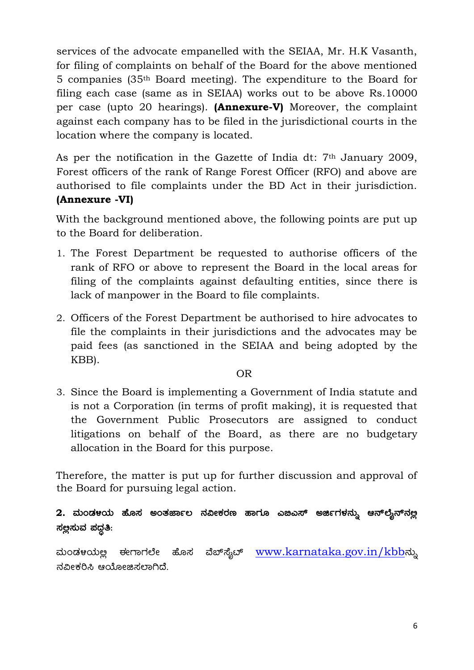services of the advocate empanelled with the SEIAA, Mr. H.K Vasanth, for filing of complaints on behalf of the Board for the above mentioned 5 companies (35th Board meeting). The expenditure to the Board for filing each case (same as in SEIAA) works out to be above Rs.10000 per case (upto 20 hearings). **(Annexure-V)** Moreover, the complaint against each company has to be filed in the jurisdictional courts in the location where the company is located.

As per the notification in the Gazette of India dt: 7th January 2009, Forest officers of the rank of Range Forest Officer (RFO) and above are authorised to file complaints under the BD Act in their jurisdiction. **(Annexure -VI)**

With the background mentioned above, the following points are put up to the Board for deliberation.

- 1. The Forest Department be requested to authorise officers of the rank of RFO or above to represent the Board in the local areas for filing of the complaints against defaulting entities, since there is lack of manpower in the Board to file complaints.
- 2. Officers of the Forest Department be authorised to hire advocates to file the complaints in their jurisdictions and the advocates may be paid fees (as sanctioned in the SEIAA and being adopted by the KBB).

#### OR

3. Since the Board is implementing a Government of India statute and is not a Corporation (in terms of profit making), it is requested that the Government Public Prosecutors are assigned to conduct litigations on behalf of the Board, as there are no budgetary allocation in the Board for this purpose.

Therefore, the matter is put up for further discussion and approval of the Board for pursuing legal action.

 $2.$  ಮಂಡಳಯ ಹೊಸ ಅಂತರ್ಜಾಲ ನವೀಕರಣ ಹಾಗೂ ಎಜಿಎಸ್ ಅರ್ಜಿಗಳನ್ನು ಆನ್**ಲ್ಯೆನ್**ನಲ್ಲ  $\vec{a}$ ಲ್ಲಿಸುವ ಪದ್ಧತಿ:

ಮಂಡಳಯಲ್ಲ ಈಗಾಗಲೇ ಹೊಸ ವೆಬ್ಸ್ಕೆಟ್ <u>[www.karnataka.gov.in/kbb](http://www.karnataka.gov.in/kbb)</u>ನ್ನು ನವೀಕರಿಸಿ ಆಯೋಜಿಸಲಾಗಿದೆ.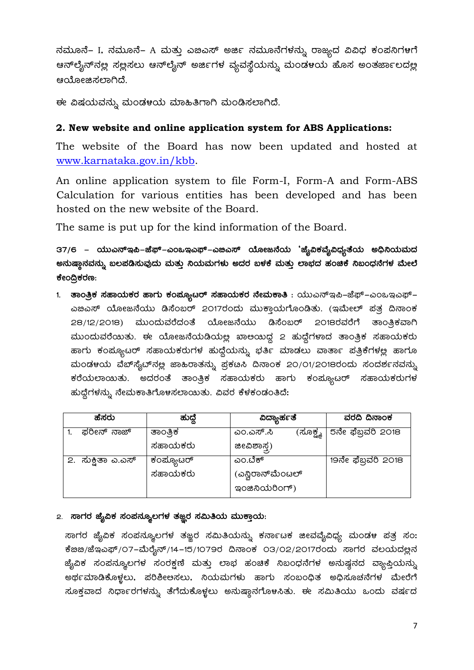ನಮೂನೆ– I, ನಮೂನೆ– A ಮತ್ತು ಎಜಎಸ್ ಅರ್ಜಿ ನಮೂನೆಗಳನ್ನು ರಾಜ್ಯದ ವಿವಿಧ ಕಂಪನಿಗಳಗೆ ಆನ್**ಲೈನ್**ನಲ್ಲ ಸಲ್ಲಸಲು ಆನ್**ಲೈನ್ ಅರ್ಜಿಗಳ ವ್ಯವಸ್ಥೆಯನ್ನು ಮಂಡ**ಳಯ ಹೊಸ ಅಂತರ್ಜಾಲದಲ್ಲ ಆಯೋಜಿಸಲಾಗಿದೆ.

ಈ ವಿಷಯವನ್ನು ಮಂಡಳಯ ಮಾಹಿತಿಗಾಗಿ ಮಂಡಿಸಲಾಗಿದೆ.

#### 2. New website and online application system for ABS Applications:

The website of the Board has now been updated and hosted at www.karnataka.gov.in/kbb.

An online application system to file Form-I, Form-A and Form-ABS Calculation for various entities has been developed and has been hosted on the new website of the Board.

The same is put up for the kind information of the Board.

37/6 – ಯುಎನ್ಇಪಿ–ಜೆಫ್–ಎಂಒಇಎಫ್–ಎಜಿಎಸ್ ಯೋಜನೆಯ 'ಜ್ಯೆವಿಕವೈವಿಧ್ಯತೆಯ ಅಧಿನಿಯಮದ ಅನುಷ್ಠಾನವನ್ನು ಬಲಪಡಿಸುವುದು ಮತ್ತು ನಿಯಮಗಳು ಅದರ ಬಳಕೆ ಮತ್ತು ಲಾಭದ ಹಂಚಿಕೆ ನಿಬಂಧನೆಗಳ ಮೇಲೆ ಕೇಂದ್ರಿಕರಣ:

1. ತಾಂತ್ರಿಕ ಸಹಾಯಕರ ಹಾಗು ಕಂಪ್ಯೂಟರ್ ಸಹಾಯಕರ ನೇಮಕಾತಿ : ಯುಎನ್ಇಪಿ–ಜೆಫ್–ಎಂಒಇಎಫ್– ಎಜಿಎಸ್ ಯೋಜನೆಯು ಡಿಸೆಂಬರ್ 2017ರಂದು ಮುಕ್ತಾಯಗೊಂಡಿತು. (ಇಮೇಲ್ ಪತ್ತ ದಿನಾಂಕ 28/12/2018) ಮುಂದುವರೆದಂತೆ ಯೋಜನೆಯು ಡಿಸೆಂಬರ್ 2018ರವರೆಗೆ ತಾಂತ್ರಿಕವಾಗಿ ಮುಂದುವರೆಯಿತು. ಈ ಯೋಜನೆಯಡಿಯಲ್ಲ ಖಾಅಯಿದ್ದ 2 ಹುದ್ದೆಗಳಾದ ತಾಂತ್ರಿಕ ಸಹಾಯಕರು ಹಾಗು ಕಂಪ್ಯೂಟರ್ ಸಹಾಯಕರುಗಳ ಹುದ್ದೆಯನ್ನು ಭರ್ತಿ ಮಾಡಲು ವಾರ್ತಾ ಪತ್ರಿಕೆಗಳಲ್ಲ ಹಾಗೂ ಮಂಡಳಯ ವೆಬ್ ಸೈಬ್ ನಲ್ಲ ಜಾಹಿರಾತನ್ನು ಪ್ರಕಡಿಸಿ ದಿನಾಂಕ 20/01/2018ರಂದು ಸಂದರ್ಶನವನ್ನು ಕರೆಯಲಾಯಿತು. ಅದರಂತೆ ತಾಂತ್ರಿಕ ಸಹಾಯಕರು ಹಾಗು ಕಂಪ್ಯೂಟರ್ ಸಹಾಯಕರುಗಳ ಹುದ್ದೆಗಳನ್ನು ನೇಮಕಾತಿಗೊಳಸಲಾಯಿತು. ವಿವರ ಕೆಳಕಂಡಂತಿದೆ:

| ಹೆಸರು             | ಹುದೆ      | ವಿದ್ಯಾರ್ಹತೆ           | ವರದಿ ದಿನಾಂಕ        |
|-------------------|-----------|-----------------------|--------------------|
| ಫರೀನ್ ನಾಜ್        | ತಾಂತ್ರಿಕ  | ಎಂ.ಎಸ್.ಸಿ<br>(ಸೂಕ್ಷ್ಡ | 5ನೇ ಫೆಬ್ರವರಿ 2018  |
|                   | ಸಹಾಯಕರು   | ಜೀವಿಶಾಸ್ತ್ರ)          |                    |
| 2. ಸುಕ್ವಿತಾ ಎ.ಎಸ್ | ಕಂಪ್ಯೂಟರ್ | ಎಂ.ಬೆಕ್               | 19ನೇ ಫೆಬ್ರವರಿ 2018 |
|                   | ಸಹಾಯಕರು   | (ಎನ್ಷಿರಾನ್ಮೆಂಟಲ್      |                    |
|                   |           | go & audorf)          |                    |

#### ೭. ಸಾಗರ ಜೈವಿಕ ಸಂಪನ್ಶೂಲಗಳ ತಜ್ಞರ ಸಮಿತಿಯ ಮುಕ್ತಾಯ:

ಸಾಗರ ಜೈವಿಕ ಸಂಪನ್ಯೂಲಗಳ ತಜ್ಞರ ಸಮಿತಿಯನ್ನು ಕರ್ನಾಟಕ ಜೀವವೈವಿಧ್ಯ ಮಂಡಳ ಪತ್ರ ಸಂ: ಕೆೞಙ/ಜೆಇಎಫ್/೦7-ಮೆರೈನ್/14-15/1079ರ ದಿನಾಂಕ ೦3/೦2/2017ರಂದು ಸಾಗರ ವಲಯದಲ್ಲನ ಜ್ಯೆವಿಕ ಸಂಪನ್ಶೂಲಗಳ ಸಂರಕ್ಷಣೆ ಮತ್ತು ಲಾಭ ಹಂಚಿಕೆ ನಿಬಂಧನೆಗಳ ಅನುಷ್ಠನದ ವ್ಯಾಪ್ತಿಯನ್ನು ಅರ್ಥಮಾಡಿಕೊಳ್ಳಲು, ಪರಿಶೀಅಸಲು, ನಿಯಮಗಳು ಹಾಗು ಸಂಬಂಧಿತ ಅಧಿಸೂಚನೆಗಳ ಮೇರೆಗೆ ಸೂಕ್ತವಾದ ನಿರ್ಧಾರಗಳನ್ನು ತೆಗೆದುಕೊಳ್ಳಲು ಅನುಷ್ಠಾನಗೊಳಸಿತು. ಈ ಸಮಿತಿಯು ಒಂದು ವರ್ಷದ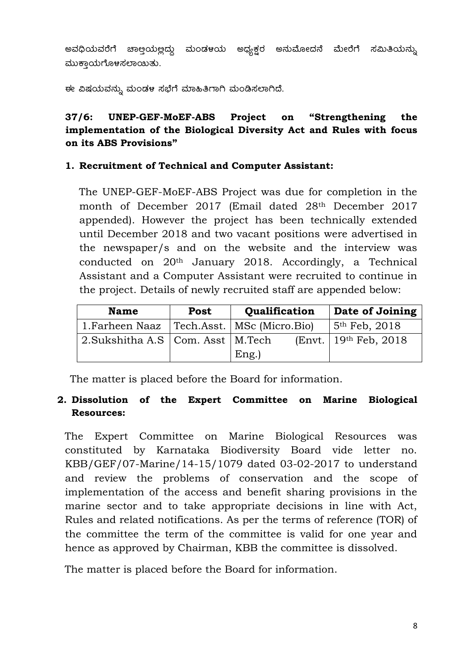ಅವಧಿಯವರೆಗೆ ಚಾಅಯಲ್ಲದ್ದು ಮಂಡಳಯ ಅಧ್ಯಕ್ಷರ ಅನುಮೋದನೆ ಮೇರೆಗೆ ಸಮಿತಿಯನ್ನು ಮುಕ್ತಾಯಗೊಳಸಲಾಯಿತು.

ಈ ವಿಷಯವನ್ನು ಮಂಡಳ ಸಭೆಗೆ ಮಾಹಿತಿಗಾಗಿ ಮಂಡಿಸಲಾಗಿದೆ.

# **37/6: UNEP-GEF-MoEF-ABS Project on "Strengthening the implementation of the Biological Diversity Act and Rules with focus on its ABS Provisions"**

#### **1. Recruitment of Technical and Computer Assistant:**

The UNEP-GEF-MoEF-ABS Project was due for completion in the month of December 2017 (Email dated 28th December 2017 appended). However the project has been technically extended until December 2018 and two vacant positions were advertised in the newspaper/s and on the website and the interview was conducted on 20th January 2018. Accordingly, a Technical Assistant and a Computer Assistant were recruited to continue in the project. Details of newly recruited staff are appended below:

| <b>Name</b>                                      | Post | Qualification | Date of Joining                     |
|--------------------------------------------------|------|---------------|-------------------------------------|
| 1. Farheen Naaz   Tech. Asst.   MSc (Micro. Bio) |      |               | $5th$ Feb, 2018                     |
| 2. Sukshitha A.S   Com. Asst   M.Tech            |      |               | [Ent.   19 <sup>th</sup> Feb, 2018] |
|                                                  |      | $Eng.$ )      |                                     |

The matter is placed before the Board for information.

# **2. Dissolution of the Expert Committee on Marine Biological Resources:**

The Expert Committee on Marine Biological Resources was constituted by Karnataka Biodiversity Board vide letter no. KBB/GEF/07-Marine/14-15/1079 dated 03-02-2017 to understand and review the problems of conservation and the scope of implementation of the access and benefit sharing provisions in the marine sector and to take appropriate decisions in line with Act, Rules and related notifications. As per the terms of reference (TOR) of the committee the term of the committee is valid for one year and hence as approved by Chairman, KBB the committee is dissolved.

The matter is placed before the Board for information.